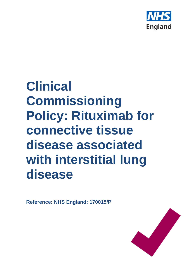

# **Clinical Commissioning Policy: Rituximab for connective tissue disease associated with interstitial lung disease**

**Reference: NHS England: 170015/P**

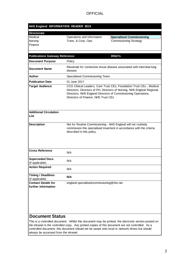| NHS England INFORMATION READER BOX                |                                                                                                                                                                                                                                                       |                                                                                                                                                                                                           |  |
|---------------------------------------------------|-------------------------------------------------------------------------------------------------------------------------------------------------------------------------------------------------------------------------------------------------------|-----------------------------------------------------------------------------------------------------------------------------------------------------------------------------------------------------------|--|
| <b>Directorate</b>                                |                                                                                                                                                                                                                                                       |                                                                                                                                                                                                           |  |
| Medical                                           | Operations and Information                                                                                                                                                                                                                            | <b>Specialised Commissioning</b>                                                                                                                                                                          |  |
| Nursing                                           | Trans. & Corp. Ops.                                                                                                                                                                                                                                   | <b>Commissioning Strategy</b>                                                                                                                                                                             |  |
| Finance                                           |                                                                                                                                                                                                                                                       |                                                                                                                                                                                                           |  |
|                                                   |                                                                                                                                                                                                                                                       |                                                                                                                                                                                                           |  |
| <b>Publications Gateway Reference:</b>            |                                                                                                                                                                                                                                                       | 05527s                                                                                                                                                                                                    |  |
| <b>Document Purpose</b>                           | Policy                                                                                                                                                                                                                                                |                                                                                                                                                                                                           |  |
| <b>Document Name</b>                              | Rituximab for connective tissue disease associated with intersitial lung<br>disease                                                                                                                                                                   |                                                                                                                                                                                                           |  |
| Author                                            | Specialised Commissioning Team                                                                                                                                                                                                                        |                                                                                                                                                                                                           |  |
| <b>Publication Date</b>                           | 01 June 2017                                                                                                                                                                                                                                          |                                                                                                                                                                                                           |  |
| <b>Target Audience</b>                            | CCG Clinical Leaders, Care Trust CEs, Foundation Trust CEs, Medical<br>Directors, Directors of PH, Directors of Nursing, NHS England Regional<br>Directors, NHS England Directors of Commissioning Operations,<br>Directors of Finance, NHS Trust CEs |                                                                                                                                                                                                           |  |
| <b>Additional Circulation</b><br>List             |                                                                                                                                                                                                                                                       |                                                                                                                                                                                                           |  |
| <b>Description</b>                                | described in this policy.                                                                                                                                                                                                                             | Not for Routine Commissioning - NHS England will not routinely<br>commission this specialised treatment in accordance with the criteria                                                                   |  |
| <b>Cross Reference</b>                            | N/A                                                                                                                                                                                                                                                   |                                                                                                                                                                                                           |  |
| <b>Superseded Docs</b><br>(if applicable)         | N/A                                                                                                                                                                                                                                                   |                                                                                                                                                                                                           |  |
| <b>Action Required</b>                            | N/A                                                                                                                                                                                                                                                   |                                                                                                                                                                                                           |  |
| <b>Timing / Deadlines</b><br>(if applicable)      | N/A                                                                                                                                                                                                                                                   |                                                                                                                                                                                                           |  |
| <b>Contact Details for</b><br>further information | england.specialisedcommissioning@nhs.net                                                                                                                                                                                                              |                                                                                                                                                                                                           |  |
| <b>Document Status</b>                            |                                                                                                                                                                                                                                                       | This is a controlled document. Whilst this document may be printed, the electronic version posted on<br>the intranst is the controlled cony. Any printed copies of this document are not controlled. As a |  |

the intranet is the controlled copy. Any printed copies of this document are not controlled. As a controlled document, this document should not be saved onto local or network drives but should always be accessed from the intranet.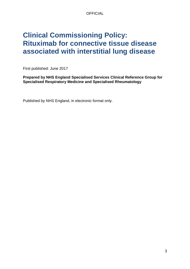## **Clinical Commissioning Policy: Rituximab for connective tissue disease associated with interstitial lung disease**

First published: June 2017

**Prepared by NHS England Specialised Services Clinical Reference Group for Specialised Respiratory Medicine and Specialised Rheumatology**

Published by NHS England, in electronic format only.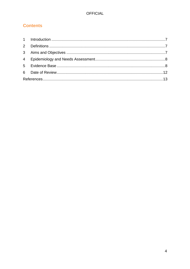## **Contents**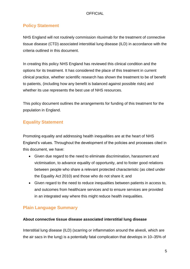## **Policy Statement**

NHS England will not routinely commission rituximab for the treatment of connective tissue disease (CTD) associated interstitial lung disease (ILD) in accordance with the criteria outlined in this document.

In creating this policy NHS England has reviewed this clinical condition and the options for its treatment. It has considered the place of this treatment in current clinical practice, whether scientific research has shown the treatment to be of benefit to patients, (including how any benefit is balanced against possible risks) and whether its use represents the best use of NHS resources.

This policy document outlines the arrangements for funding of this treatment for the population in England.

## **Equality Statement**

Promoting equality and addressing health inequalities are at the heart of NHS England's values. Throughout the development of the policies and processes cited in this document, we have:

- Given due regard to the need to eliminate discrimination, harassment and victimisation, to advance equality of opportunity, and to foster good relations between people who share a relevant protected characteristic (as cited under the Equality Act 2010) and those who do not share it; and
- Given regard to the need to reduce inequalities between patients in access to, and outcomes from healthcare services and to ensure services are provided in an integrated way where this might reduce health inequalities.

## **Plain Language Summary**

## **About connective tissue disease associated interstitial lung disease**

Interstitial lung disease (ILD) (scarring or inflammation around the alveoli, which are the air sacs in the lung) is a potentially fatal complication that develops in 10–35% of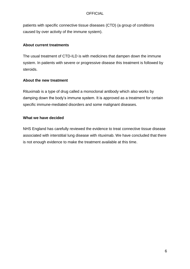patients with specific connective tissue diseases (CTD) (a group of conditions caused by over activity of the immune system).

## **About current treatments**

The usual treatment of CTD-ILD is with medicines that dampen down the immune system. In patients with severe or progressive disease this treatment is followed by steroids.

## **About the new treatment**

Rituximab is a type of drug called a monoclonal antibody which also works by damping down the body's immune system. It is approved as a treatment for certain specific immune-mediated disorders and some malignant diseases.

## **What we have decided**

NHS England has carefully reviewed the evidence to treat connective tissue disease associated with interstitial lung disease with rituximab. We have concluded that there is not enough evidence to make the treatment available at this time.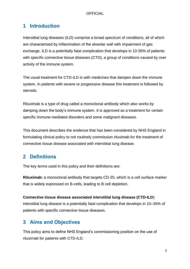## <span id="page-6-0"></span>**1 Introduction**

Interstitial lung diseases (ILD) comprise a broad spectrum of conditions, all of which are characterised by inflammation of the alveolar wall with impairment of gas exchange. ILD is a potentially fatal complication that develops in 10-35% of patients with specific connective tissue diseases (CTD), a group of conditions caused by over activity of the immune system.

The usual treatment for CTD-ILD is with medicines that dampen down the immune system. In patients with severe or progressive disease this treatment is followed by steroids.

Rituximab is a type of drug called a monoclonal antibody which also works by damping down the body's immune system. It is approved as a treatment for certain specific immune-mediated disorders and some malignant diseases.

This document describes the evidence that has been considered by NHS England in formulating clinical policy to not routinely commission rituximab for the treatment of connective tissue disease associated with interstitial lung disease.

## <span id="page-6-1"></span>**2 Definitions**

The key terms used in this policy and their definitions are:

**Rituximab:** a monoclonal antibody that targets CD-20, which is a cell surface marker that is widely expressed on B-cells, leading to B cell depletion.

## **Connective tissue disease associated interstitial lung disease (CTD-ILD**):

interstitial lung disease is a potentially fatal complication that develops in 10–35% of patients with specific connective tissue diseases.

## <span id="page-6-2"></span>**3 Aims and Objectives**

This policy aims to define NHS England's commissioning position on the use of rituximab for patients with CTD-ILD.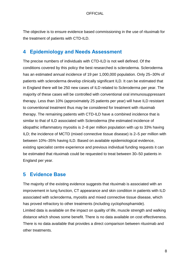The objective is to ensure evidence based commissioning in the use of rituximab for the treatment of patients with CTD-ILD.

## <span id="page-7-0"></span>**4 Epidemiology and Needs Assessment**

The precise numbers of individuals with CTD-ILD is not well defined. Of the conditions covered by this policy the best researched is scleroderma. Scleroderma has an estimated annual incidence of 19 per 1,000,000 population. Only 25–30% of patients with scleroderma develop clinically significant ILD. It can be estimated that in England there will be 250 new cases of ILD related to Scleroderma per year. The majority of these cases will be controlled with conventional oral immunosuppressant therapy. Less than 10% (approximately 25 patients per year) will have ILD resistant to conventional treatment thus may be considered for treatment with rituximab therapy. The remaining patients with CTD-ILD have a combined incidence that is similar to that of ILD associated with Scleroderma (the estimated incidence of idiopathic inflammatory myositis is 2–8 per million population with up to 33% having ILD; the incidence of MCTD (mixed connective tissue disease) is 2–5 per million with between 10%–35% having ILD. Based on available epidemiological evidence, existing specialist centre experience and previous individual funding requests it can be estimated that rituximab could be requested to treat between 30–50 patients in England per year.

## <span id="page-7-1"></span>**5 Evidence Base**

The majority of the existing evidence suggests that rituximab is associated with an improvement in lung function, CT appearance and skin condition in patients with ILD associated with scleroderma, myositis and mixed connective tissue disease, which has proved refractory to other treatments (including cyclophosphamide). Limited data is available on the impact on quality of life, muscle strength and walking distance which shows some benefit. There is no data available on cost effectiveness. There is no data available that provides a direct comparison between rituximab and other treatments.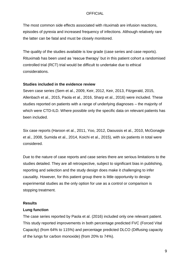The most common side effects associated with rituximab are infusion reactions, episodes of pyrexia and increased frequency of infections. Although relatively rare the latter can be fatal and must be closely monitored.

The quality of the studies available is low grade (case series and case reports). Rituximab has been used as 'rescue therapy' but in this patient cohort a randomised controlled trial (RCT) trial would be difficult to undertake due to ethical considerations.

#### **Studies included in the evidence review**

Seven case series (Sem et al., 2009, Keir, 2012, Keir, 2013, Fitzgerald, 2015, Allenbach et al., 2015, Paola et al., 2016, Sharp et al., 2016) were included. These studies reported on patients with a range of underlying diagnoses – the majority of which were CTD-ILD. Where possible only the specific data on relevant patients has been included.

Six case reports (Haroon et al., 2011, Yoo, 2012, Daoussis et al., 2010, McGonagle et al., 2008, Sumida et al., 2014, Koichi et al., 2015), with six patients in total were considered.

Due to the nature of case reports and case series there are serious limitations to the studies detailed. They are all retrospective, subject to significant bias in publishing, reporting and selection and the study design does make it challenging to infer causality. However, for this patient group there is little opportunity to design experimental studies as the only option for use as a control or comparison is stopping treatment.

#### **Results**

#### **Lung function**

The case series reported by Paola et al. (2016) included only one relevant patient. This study reported improvements in both percentage predicted FVC (Forced Vital Capacity) (from 64% to 115%) and percentage predicted DLCO (Diffusing capacity of the lungs for carbon monoxide) (from 20% to 74%).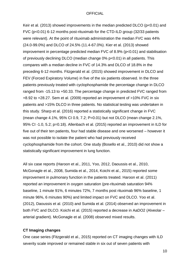Keir et al. (2013) showed improvements in the median predicted DLCO (p<0.01) and FVC (p<0.01) 6-12 months post-rituximab for the CTD-ILD group (32/33 patients were relevant). At the point of rituximab administration the median FVC was 44% (24.0-99.0%) and DLCO of 24.5% (11.4-67.0%). Kier et al. (2013) showed improvement in percentage predicted median FVC of 8.9% (p<0.01) and stabilisation of previously declining DLCO (median change 0% p<0.01) in all patients. This compares with a median decline in FVC of 14.3% and DLCO of 18.8% in the preceding 6-12 months. Fitzgerald et al. (2015) showed improvement in DLCO and FEV (Forced Expiratory Volume) in five of the six patients observed. In the three patients previously treated with cyclophosphamide the percentage change in DLCO ranged from -15.13 to +50.33. The percentage change in predicted FVC ranged from +8.92 to +28.27. Sem et al. (2009) reported an improvement of >10% FVC in six patients and >15% DLCO in three patients. No statistical testing was undertaken in this study. Sharp et al. (2016) reported a statistically significant change in FVC (mean change 4.1%, 95% CI 0.9, 7.2; P=0.01) but not DLCO (mean change 2.1%, 95% CI -1.0, 5.2; p=0.18). Allenbach et al. (2015) reported an improvement in ILD for five out of their ten patients, four had stable disease and one worsened – however it was not possible to isolate the patient who had previously received cyclophosphamide from the cohort. One study (Bosello et al., 2010) did not show a statistically significant improvement in lung function.

All six case reports (Haroon et al., 2011, Yoo, 2012, Daoussis et al., 2010, McGonagle et al., 2008, Sumida et al., 2014, Koichi et al., 2015) reported some improvement in pulmonary function in the patients treated. Haroon et al. (2011) reported an improvement in oxygen saturation (pre-rituximab saturation 94% baseline, 1 minute 91%, 6 minutes 72%, 7 months post rituximab 96% baseline, 1 minute 96%, 6 minutes 90%) and limited impact on FVC and DLCO. Yoo et al. (2012), Daoussis et al. (2010) and Sumida et al. (2014) observed an improvement in both FVC and DLCO. Koichi et al. (2015) reported a decrease in AaDO2 (Alveolar – arterial gradient). McGonagle et al. (2008) observed mixed results.

## **CT Imaging changes**

One case series (Fitzgerald et al., 2015) reported on CT imaging changes with ILD severity scale improved or remained stable in six out of seven patients with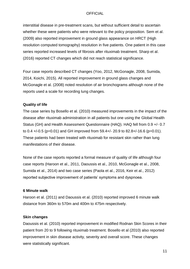interstitial disease in pre-treatment scans, but without sufficient detail to ascertain whether these were patients who were relevant to the policy proposition. Sem et al. (2009) also reported improvement in ground glass appearance on HRCT (High resolution computed tomography) resolution in five patients. One patient in this case series reported increased levels of fibrosis after rituximab treatment. Sharp et al. (2016) reported CT changes which did not reach statistical significance.

Four case reports described CT changes (Yoo, 2012, McGonagle, 2008, Sumida, 2014, Koichi, 2015). All reported improvement in ground glass changes and McGonagle et al. (2008) noted resolution of air bronchograms although none of the reports used a scale for recording lung changes.

## **Quality of life**

The case series by Bosello et al. (2010) measured improvements in the impact of the disease after rituximab administration in all patients but one using the Global Health Status (GH) and Health Assessment Questionnaire (HAQ). HAQ fell from 0.9 +/- 0.7 to 0.4  $+/-0.5$  (p=0.01) and GH improved from 59.4 $+/-$  20.9 to 82.8 $+/-16.6$  (p=0.01). These patients had been treated with rituximab for resistant skin rather than lung manifestations of their disease.

None of the case reports reported a formal measure of quality of life although four case reports (Haroon et al., 2011, Daoussis et al., 2010, McGonagle et al., 2008, Sumida et al., 2014) and two case series (Paola et al., 2016, Keir et al., 2012) reported subjective improvement of patients' symptoms and dyspnoea.

#### **6 Minute walk**

Haroon et al. (2011) and Daoussis et al. (2010) reported improved 6 minute walk distance from 360m to 570m and 400m to 475m respectively.

## **Skin changes**

Daoussis et al. (2010) reported improvement in modified Rodnan Skin Scores in their patient from 20 to 9 following rituximab treatment. Bosello et al (2010) also reported improvement in skin disease activity, severity and overall score. These changes were statistically significant.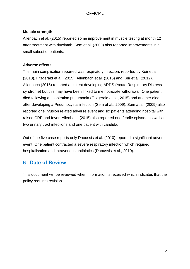#### **Muscle strength**

Allenbach et al. (2015) reported some improvement in muscle testing at month 12 after treatment with rituximab. Sem et al. (2009) also reported improvements in a small subset of patients.

#### **Adverse effects**

The main complication reported was respiratory infection, reported by Keir et al. (2013), Fitzgerald et al. (2015), Allenbach et al. (2015) and Keir et al. (2012). Allenbach (2015) reported a patient developing ARDS (Acute Respiratory Distress syndrome) but this may have been linked to methotrexate withdrawal. One patient died following an aspiration pneumonia (Fitzgerald et al., 2015) and another died after developing a Pneumocystis infection (Sem et al., 2009). Sem at al. (2009) also reported one infusion related adverse event and six patients attending hospital with raised CRP and fever. Allenbach (2015) also reported one febrile episode as well as two urinary tract infections and one patient with candida.

Out of the five case reports only Daoussis et al. (2010) reported a significant adverse event. One patient contracted a severe respiratory infection which required hospitalisation and intravenous antibiotics (Daoussis et al., 2010).

## <span id="page-11-0"></span>**6 Date of Review**

This document will be reviewed when information is received which indicates that the policy requires revision.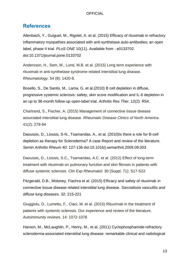## <span id="page-12-0"></span>**References**

Allenbach, Y., Guiguet, M., Rigolet, A. et al. (2015) Efficacy of rituximab in refractory inflammatory myopathies associated with anti-synthetase auto-antibodies; an open label, phase II trial. *PLoS ONE* 10(11). Available from : e0133702. doi:10.1371/journal.pone.0133702

Andersson, H., Sem, M., Lund, M.B. et al. (2015) Long term experience with rituximab in anti-synthetase syndrome related interstitial lung disease. *Rheumatology.* 54 (8): 1420-8.

Bosello, S., De Santis, M., Lama, G. et al.(2010) B cell depletion in diffuse, progressive systemic sclerosis: safety, skin score modification and IL-6 depletion in an up to 36-month follow-up open-label trial. *Arthritis Res Ther*. 12(2): R54.

Chartrand, S., Fischer, A. (2015) Management of connective tissue disease associated interstitial lung disease. *Rheumatic Disease Clinics of North America*. 41(2): 279-94

Daoussis, D., Liossis, S-N., Tsamandas, A., et al. (2010) Is there a role for B-cell depletion as therapy for Scleroderma? A case Report and review of the literature. *Semin Arthritis Rheum* 40: 127-136 doi:10.1016/j.semarthrit.2009.09.003

Daoussis, D., Liossis, S.C., Tsamandas, A.C. et al. (2012) Effect of long-term treatment with rituximab on pulmonary function and skin fibrosis in patients with diffuse systemic sclerosis. *Clin Exp Rheumatol*. 30 (Suppl. 71): S17-S22

Fitzgerald, D.B., Moloney, Fiachra et al. (2015) Efficacy and safety of rituximab in connective tissue disease related interstitial lung disease. *Sarcoidosis vasculitis and diffuse lung diseases.* 32: 215-221

Giuggiolu, D., Lumettu, F., Claci, M. et al. (2015) Rituximab in the treatment of patients with systemic sclerosis. Our experience and review of the literature. *Autoimmunity review*s. 14: 1072-1078

Haroon, M., McLaughlin, P., Henry, M., et al. (2011) Cyclophosphamide-refractory scleroderma-associated interstitial lung disease: remarkable clinical and radiological